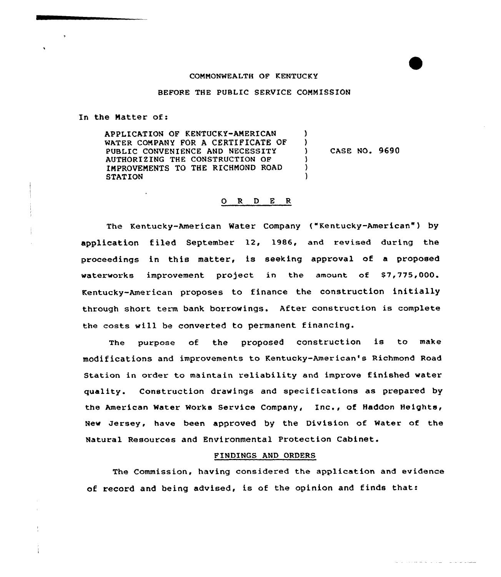#### COMMONWEALTH OF KENTUCKY

## BEFORE THE PUBLIC SERVICE COMMISSION

In the Matter of:

APPLICATION OF KENTUCKY-AMERICAN MATER COMPANY FOR A CERTIFICATE OF PUBLIC CONVENIENCE AND NECESSITY AUTHORIZING THE CONSTRUCTION OF IMPROVEMENTS TO THE RICHMOND ROAD **STATION**  $\lambda$ )<br>) ) CASE NO. 9690 )  $\lambda$ )

### Q R D E R

The Kentucky-American Water Company ("Kentucky-American") by application filed September 12, 1986, and revised during the proceedings in this matter, is seeking approval of a proposed waterworks improvement project in the amount of \$7,775,000. Kentucky-American proposes to finance the construction initially through short term bank borrowings. After construction is complete the costs will be converted to permanent financing.

The purpose of the proposed construction is to make modifications and improvements to Kentucky-American's Richmond Road Station in order to maintain reliability and improve finished water quality. Construction drawings and specifications as prepared by the American Water Works Service Company, Inc., of Haddon Heights, New Jersey, have been approved by the Division of Water of the Natural Resources and Environmental Protection Cabinet.

#### FINDINGS AND ORDERS

The Commission, having considered the application and evidence of record and being advised, is of the opinion and finds that: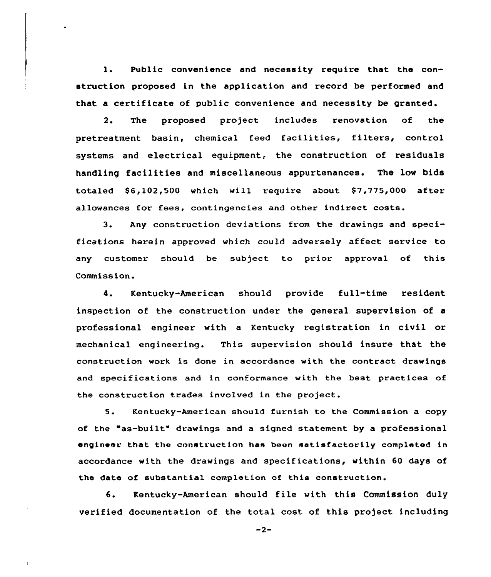l. Public convenience and necessity require that the construction proposed in the application and record be performed and that a certificate of public convenience and necessity be granted.

2. The proposed project includes renovation of the pretreatment basin, chemical feed facilities, filters, control systems and electrical equipment, the construction of residuals handling facilities and miscellaneous appurtenances. The low bids totaled  $$6,102,500$  which will require about  $$7,775,000$  after allowances for fees, contingencies and other indirect costs.

3. Any construction deviations from the drawings and specifications herein approved which could adversely affect service to any customer should be subject to prior approval of this Commission.

4. Kentucky-American should provide full-time resident inspection of the construction under the general supervision of a professional engineer with a Kentucky registration in civil or mechanical engineering. This supervision should insure that the construction work is done in accordance with the contract drawings and specifications and in conformance with the best practices of the construction trades involved in the project.

5. Kentucky-American should furnish to the Commission a copy of the "as-built" drawings and <sup>a</sup> signed statement by a professional engineer that the construction has been satisfactorily completed in accordance with the drawings and specifications, within 60 days of the date of substantial completion of this construction.

6. Kentucky-American should file with this Commission duly verified documentation of the total cost of this project including

 $-2-$